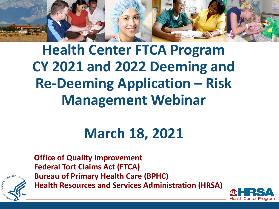

## **Health Center FTCA Program CY 2021 and 2022 Deeming and Re-Deeming Application – Risk Management Webinar**

## **March 18, 2021**



**Office of Quality Improvement Federal Tort Claims Act (FTCA) Bureau of Primary Health Care (BPHC) Health Resources and Services Administration (HRSA)**

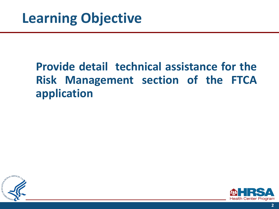#### **Provide detail technical assistance for the Risk Management section of the FTCA application**



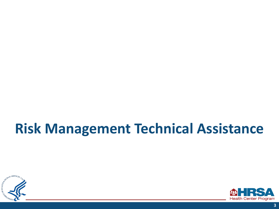#### **Risk Management Technical Assistance**



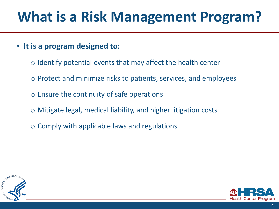## **What is a Risk Management Program?**

- **It is a program designed to:** 
	- $\circ$  Identify potential events that may affect the health center
	- Protect and minimize risks to patients, services, and employees
	- Ensure the continuity of safe operations
	- Mitigate legal, medical liability, and higher litigation costs
	- Comply with applicable laws and regulations



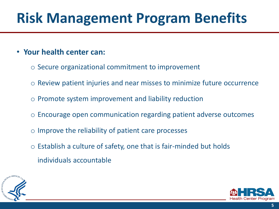# **Risk Management Program Benefits**

#### • **Your health center can:**

- Secure organizational commitment to improvement
- Review patient injuries and near misses to minimize future occurrence
- Promote system improvement and liability reduction
- Encourage open communication regarding patient adverse outcomes
- Improve the reliability of patient care processes
- $\circ$  Establish a culture of safety, one that is fair-minded but holds individuals accountable



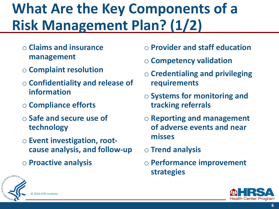# **What Are the Key Components of a Risk Management Plan?(1/2)**

- **Claims and insurance management**
- **Complaint resolution**
- **Confidentiality and release of information**
- **Compliance efforts**
- **Safe and secure use of technology**
- **Event investigation, rootcause analysis, and follow-up**
- **Proactive analysis**
- **Provider and staff education**
- **Competency validation**
- **Credentialing and privileging requirements**
- **Systems for monitoring and tracking referrals**
- **Reporting and management of adverse events and near misses**
- **Trend analysis**
- **Performance improvement strategies**



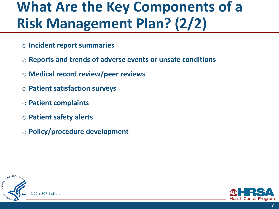### **What Are the Key Components of a Risk Management Plan? (2/2)**

- **Incident report summaries**
- **Reports and trends of adverse events or unsafe conditions**
- **Medical record review/peer reviews**
- **Patient satisfaction surveys**
- **Patient complaints**
- **Patient safety alerts**
- **Policy/procedure development**



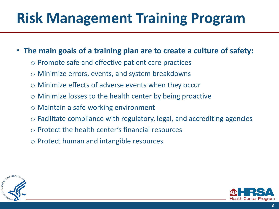# **Risk Management Training Program**

#### • **The main goals of a training plan are to create a culture of safety:**

- Promote safe and effective patient care practices
- Minimize errors, events, and system breakdowns
- Minimize effects of adverse events when they occur
- Minimize losses to the health center by being proactive
- Maintain a safe working environment
- $\circ$  Facilitate compliance with regulatory, legal, and accrediting agencies
- Protect the health center's financial resources
- Protect human and intangible resources



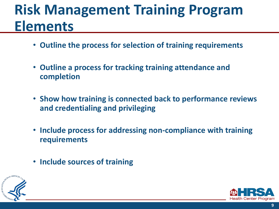### **Risk Management Training Program Elements**

- **Outline the process for selection of training requirements**
- **Outline a process for tracking training attendance and completion**
- **Show how training is connected back to performance reviews and credentialing and privileging**
- **Include process for addressing non-compliance with training requirements**
- **Include sources of training**



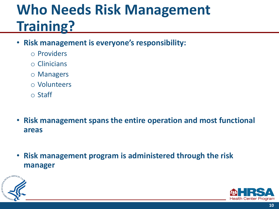## **Who Needs Risk Management Training?**

- **Risk management is everyone's responsibility:** 
	- Providers
	- Clinicians
	- Managers
	- Volunteers
	- Staff
- **Risk management spans the entire operation and most functional areas**
- **Risk management program is administered through the risk manager**



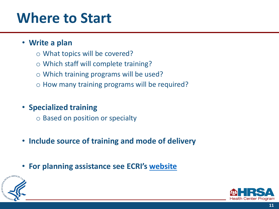#### **Where to Start**

#### • **Write a plan**

- What topics will be covered?
- Which staff will complete training?
- Which training programs will be used?
- How many training programs will be required?

#### • **Specialized training**

- Based on position or specialty
- **Include source of training and mode of delivery**
- **For planning assistance see ECRI's [website](https://www.ecri.org/components/HRSA/Pages/PSRM1.aspx?tab=2)**



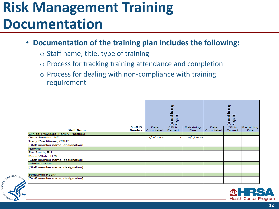#### **Risk Management Training Documentation**

• **Documentation of the training plan includes the following:** 

◦ Staff name, title, type of training

MAN SERVICES

- Process for tracking training attendance and completion
- Process for dealing with non-compliance with training requirement

|                                             |                                  |                   | [Name of Training<br>Program] |                   | [Name of Training<br> Program] |                       |                   |
|---------------------------------------------|----------------------------------|-------------------|-------------------------------|-------------------|--------------------------------|-----------------------|-------------------|
| <b>Staff Name</b>                           | <b>Staff ID</b><br><b>Number</b> | Date<br>Completed | <b>CEUs</b><br>Earned         | Retraining<br>Due | Date<br>Completed              | <b>CEUs</b><br>Earned | Retraining<br>Due |
| <b>Clinical Providers (Family Practice)</b> |                                  |                   |                               |                   |                                |                       |                   |
| Great Provider, MD                          |                                  | 5/2/2015          |                               | 5/2/2018          |                                |                       |                   |
| <b>Tracy Practitioner, CRNP</b>             |                                  |                   |                               |                   |                                |                       |                   |
| [Staff member name, designation]            |                                  |                   |                               |                   |                                |                       |                   |
| <b>Nursing</b>                              |                                  |                   |                               |                   |                                |                       |                   |
| Pat Smith, RN                               |                                  |                   |                               |                   |                                |                       |                   |
| Maria White, LPN                            |                                  |                   |                               |                   |                                |                       |                   |
| [Staff member name, designation]            |                                  |                   |                               |                   |                                |                       |                   |
| Administration                              |                                  |                   |                               |                   |                                |                       |                   |
| [Staff member name, designation]            |                                  |                   |                               |                   |                                |                       |                   |
|                                             |                                  |                   |                               |                   |                                |                       |                   |
| <b>Behavioral Health</b>                    |                                  |                   |                               |                   |                                |                       |                   |
| [Staff member name, designation]            |                                  |                   |                               |                   |                                |                       |                   |
|                                             |                                  |                   |                               |                   |                                |                       |                   |



**12**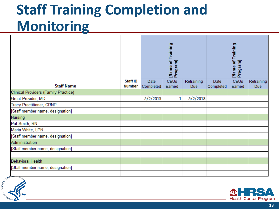## **Staff Training Completion and Monitoring**

|                                             |                                  |                   | [Name of Training<br>Program] |                          | [Name of Training<br>Program] |                       |                          |
|---------------------------------------------|----------------------------------|-------------------|-------------------------------|--------------------------|-------------------------------|-----------------------|--------------------------|
| <b>Staff Name</b>                           | <b>Staff ID</b><br><b>Number</b> | Date<br>Completed | <b>CEUs</b><br>Earned         | Retraining<br><b>Due</b> | Date<br>Completed             | <b>CEUs</b><br>Earned | Retraining<br><b>Due</b> |
| <b>Clinical Providers (Family Practice)</b> |                                  |                   |                               |                          |                               |                       |                          |
| Great Provider, MD                          |                                  | 5/2/2015          | 1                             | 5/2/2018                 |                               |                       |                          |
| <b>Tracy Practitioner, CRNP</b>             |                                  |                   |                               |                          |                               |                       |                          |
| [Staff member name, designation]            |                                  |                   |                               |                          |                               |                       |                          |
| Nursing                                     |                                  |                   |                               |                          |                               |                       |                          |
| Pat Smith, RN                               |                                  |                   |                               |                          |                               |                       |                          |
| Maria White, LPN                            |                                  |                   |                               |                          |                               |                       |                          |
| [Staff member name, designation]            |                                  |                   |                               |                          |                               |                       |                          |
| Administration                              |                                  |                   |                               |                          |                               |                       |                          |
| [Staff member name, designation]            |                                  |                   |                               |                          |                               |                       |                          |
|                                             |                                  |                   |                               |                          |                               |                       |                          |
| <b>Behavioral Health</b>                    |                                  |                   |                               |                          |                               |                       |                          |
| [Staff member name, designation]            |                                  |                   |                               |                          |                               |                       |                          |
|                                             |                                  |                   |                               |                          |                               |                       |                          |



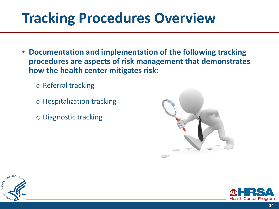### **Tracking Procedures Overview**

- **Documentation and implementation of the following tracking procedures are aspects of risk management that demonstrates how the health center mitigates risk:** 
	- Referral tracking
	- Hospitalization tracking
	- Diagnostic tracking





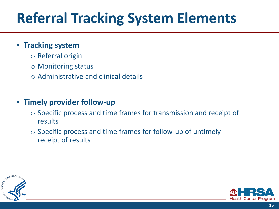# **Referral Tracking System Elements**

#### • **Tracking system**

- Referral origin
- Monitoring status
- Administrative and clinical details

#### • **Timely provider follow-up**

- Specific process and time frames for transmission and receipt of results
- Specific process and time frames for follow-up of untimely receipt of results



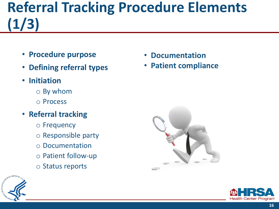## **Referral Tracking Procedure Elements (1/3)**

- **Procedure purpose**
- **Defining referral types**
- **Initiation** 
	- By whom
	- Process
- **Referral tracking** 
	- Frequency
	- Responsible party
	- Documentation
	- Patient follow-up
	- Status reports



• **Patient compliance**





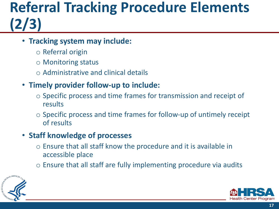## **Referral Tracking Procedure Elements (2/3)**

#### • **Tracking system may include:**

- Referral origin
- Monitoring status
- Administrative and clinical details

#### • **Timely provider follow-up to include:**

- Specific process and time frames for transmission and receipt of results
- $\circ$  Specific process and time frames for follow-up of untimely receipt of results

#### • **Staff knowledge of processes**

- $\circ$  Ensure that all staff know the procedure and it is available in accessible place
- $\circ$  Ensure that all staff are fully implementing procedure via audits



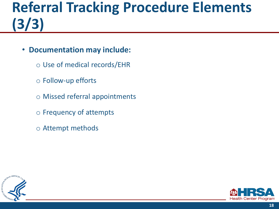## **Referral Tracking Procedure Elements (3/3)**

- **Documentation may include:** 
	- Use of medical records/EHR
	- Follow-up efforts
	- Missed referral appointments
	- Frequency of attempts
	- Attempt methods



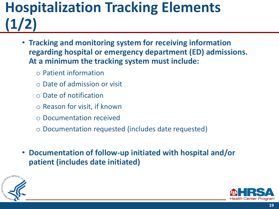### **Hospitalization Tracking Elements (1/2)**

- **Tracking and monitoring system for receiving information regarding hospital or emergency department (ED) admissions. At a minimum the tracking system must include:** 
	- Patient information
	- Date of admission or visit
	- Date of notification
	- Reason for visit, if known
	- Documentation received
	- Documentation requested (includes date requested)
- **Documentation of follow-up initiated with hospital and/or patient (includes date initiated)**



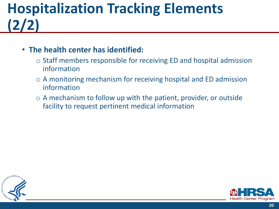## **Hospitalization Tracking Elements (2/2)**

#### • **The health center has identified:**

- $\circ$  Staff members responsible for receiving ED and hospital admission information
- A monitoring mechanism for receiving hospital and ED admission information
- $\circ$  A mechanism to follow up with the patient, provider, or outside facility to request pertinent medical information



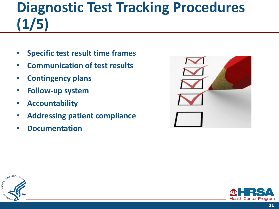# **Diagnostic Test Tracking Procedures (1/5)**

- **Specific test result time frames**
- **Communication of test results**
- **Contingency plans**
- **Follow-up system**
- **Accountability**
- **Addressing patient compliance**
- **Documentation**





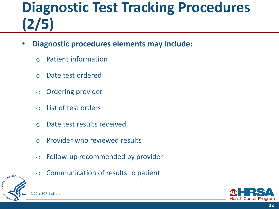# **Diagnostic Test Tracking Procedures (2/5)**

- **Diagnostic procedures elements may include:** 
	- Patient information
	- Date test ordered
	- Ordering provider
	- List of test orders
	- Date test results received
	- Provider who reviewed results
	- Follow-up recommended by provider



◦ Communication of results to patient

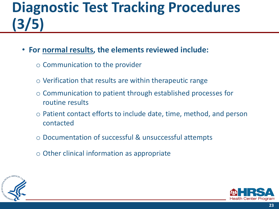# **Diagnostic Test Tracking Procedures (3/5)**

- **For normal results, the elements reviewed include:** 
	- Communication to the provider
	- $\circ$  Verification that results are within therapeutic range
	- Communication to patient through established processes for routine results
	- Patient contact efforts to include date, time, method, and person contacted
	- Documentation of successful & unsuccessful attempts
	- Other clinical information as appropriate



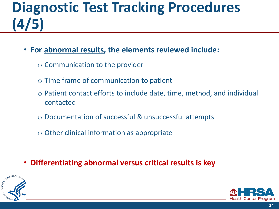# **Diagnostic Test Tracking Procedures (4/5)**

- **For abnormal results, the elements reviewed include:** 
	- Communication to the provider
	- Time frame of communication to patient
	- Patient contact efforts to include date, time, method, and individual contacted
	- Documentation of successful & unsuccessful attempts
	- Other clinical information as appropriate
- **Differentiating abnormal versus critical results is key**



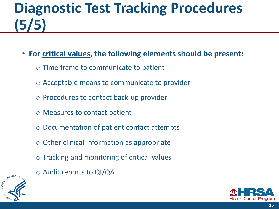# **Diagnostic Test Tracking Procedures (5/5)**

- **For critical values, the following elements should be present:** 
	- Time frame to communicate to patient
	- Acceptable means to communicate to provider
	- Procedures to contact back-up provider
	- Measures to contact patient
	- Documentation of patient contact attempts
	- Other clinical information as appropriate
	- Tracking and monitoring of critical values
	- Audit reports to QI/QA



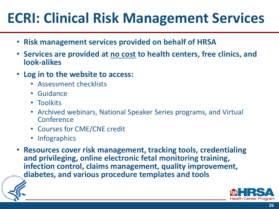# **ECRI: Clinical Risk Management Services**

- **Risk management services provided on behalf of HRSA**
- **Services are provided at no cost to health centers, free clinics, and look-alikes**
- **Log in to the website to access:** 
	- Assessment checklists
	- Guidance
	- Toolkits
	- Archived webinars, National Speaker Series programs, and Virtual **Conference**
	- Courses for CME/CNE credit
	- Infographics
- **Resources cover risk management, tracking tools, credentialing and privileging, online electronic fetal monitoring training, infection control, claims management, quality improvement, diabetes, and various procedure templates and tools**



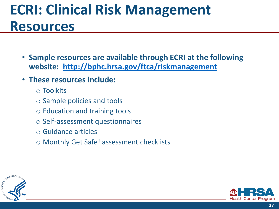## **ECRI: Clinical Risk Management Resources**

- **Sample resources are available through ECRI at the following website: <http://bphc.hrsa.gov/ftca/riskmanagement>**
- **These resources include:** 
	- Toolkits
	- Sample policies and tools
	- Education and training tools
	- Self-assessment questionnaires
	- Guidance articles
	- Monthly Get Safe! assessment checklists



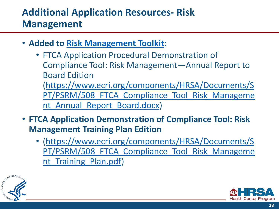#### **Additional Application Resources- Risk Management**

- **Added to [Risk Management Toolkit:](https://www.ecri.org/components/HRSA/Pages/RMToolkit.aspx)** 
	- FTCA Application Procedural Demonstration of Compliance Tool: Risk Management—Annual Report to Board Edition (https://www.ecri.org/components/HRSA/Documents/S PT/PSRM/508 FTCA Compliance Tool Risk Manageme

nt Annual Report Board.docx)

- **FTCA Application Demonstration of Compliance Tool: Risk Management Training Plan Edition** 
	- (https://www.ecri.org/components/HRSA/Documents/S PT/PSRM/508 FTCA Compliance Tool Risk Manageme nt Training Plan.pdf)



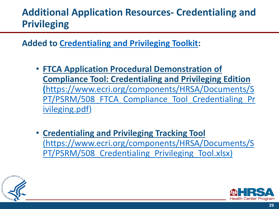#### **Additional Application Resources- Credentialing and Privileging**

**Added to [Credentialing and Privileging Toolkit](https://www.ecri.org/components/HRSA/Pages/CredentialingToolkit.aspx):** 

- **FTCA Application Procedural Demonstration of Compliance Tool: Credentialing and Privileging Edition (**https://www.ecri.org/components/HRSA/Documents/S [PT/PSRM/508\\_FTCA\\_Compliance\\_Tool\\_Credentialing\\_Pr](https://www.ecri.org/components/HRSA/Documents/SPT/PSRM/508_FTCA_Compliance_Tool_Credentialing_Privileging.pdf) ivileging.pdf)
- **Credentialing and Privileging Tracking Tool**  [\(https://www.ecri.org/components/HRSA/Documents/S](https://www.ecri.org/components/HRSA/Documents/SPT/PSRM/508_Credentialing_Privileging_Tool.xlsx) PT/PSRM/508 Credentialing Privileging Tool.xlsx)



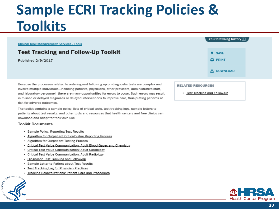#### **Sample ECRI Tracking Policies & Toolkits**

#### **Clinical Risk Management Services - Tools**

#### **Test Tracking and Follow-Up Toolkit**

Published 2/9/2017

Because the processes related to ordering and following up on diagnostic tests are complex and involve multiple individuals-including patients, physicians, other providers, administrative staff, and laboratory personnel-there are many opportunities for errors to occur. Such errors may result in missed or delayed diagnoses or delayed interventions to improve care, thus putting patients at risk for adverse outcomes.

The toolkit contains a sample policy, lists of critical tests, test tracking logs, sample letters to patients about test results, and other tools and resources that health centers and free clinics can download and adapt for their own use.

#### **Toolkit Documents**

- · Sample Policy: Reporting Test Results
- Algorithm for Outpatient Critical Value Reporting Process
- Algorithm for Outpatient Testing Process
- Critical Test Value Communication: Adult Blood Gases and Chemistry
- Critical Test Value Communication: Adult Cardiology
- · Critical Test Value Communication: Adult Radiology
- Diagnostic Test Tracking and Follow-Up
- Sample Letter to Patient about Test Results
- · Test Tracking Log for Physician Practices
- **Tracking Hospitalizations: Patient Card and Procedures**



| <b>TOUT DIUWSING INSTUTY</b> |
|------------------------------|
|                              |
| <b>N</b> SAVE                |
| $\Box$ PRINT                 |
| $\bigstar$ DOWNLOAD          |

#### **RELATED RESOURCES**

· Test Tracking and Follow-Up

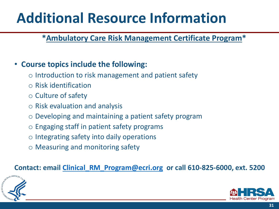## **Additional Resource Information**

#### **\*Ambulatory Care Risk Management Certificate Program\***

#### • **Course topics include the following:**

- Introduction to risk management and patient safety
- Risk identification
- Culture of safety
- Risk evaluation and analysis
- Developing and maintaining a patient safety program
- Engaging staff in patient safety programs
- Integrating safety into daily operations
- Measuring and monitoring safety

#### **Contact: email [Clinical\\_RM\\_Program@ecri.org](mailto:Clinical_RM_Program@ecri.org) or call 610-825-6000, ext. 5200**



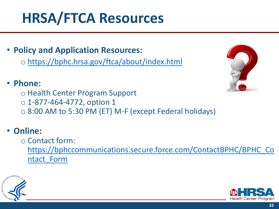## **HRSA/FTCA Resources**

- **Policy and Application Resources:** 
	- <https://bphc.hrsa.gov/ftca/about/index.html>

#### • **Phone:**

- Health Center Program Support
- $\circ$  1-877-464-4772, option 1
- 8:00 AM to 5:30 PM (ET) M-F (except Federal holidays)

#### • **Online:**

◦ Contact form:

[https://bphccommunications.secure.force.com/ContactBPHC/BPHC\\_Co](https://bphccommunications.secure.force.com/ContactBPHC/BPHC_Contact_Form) ntact\_Form





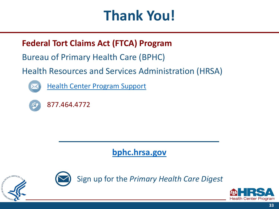# **Thank You!**

#### **Federal Tort Claims Act (FTCA) Program**

Bureau of Primary Health Care (BPHC)

#### Health Resources and Services Administration (HRSA)



[Health Center Program Support](https://bphccommunications.secure.force.com/ContactBPHC/BPHC_Contact_Form) 



877.464.4772

#### **[bphc.hrsa.gov](https://bphc.hrsa.gov/)**





Sign up for the *Primary Health Care Digest*